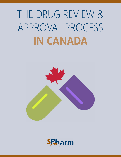# THE DRUG REVIEW & APPROVAL PROCESS **IN CANADA**



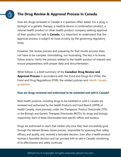## **The Drug Review & Approval Process In Canada**

How are drugs reviewed in Canada is a question often asked. For a drug, a biologic or a genetic therapy, a medical device, a combination product, a natural health product or other health product company seeking approval of their product for sale in **Canada**, it is important to understand that the approval process is subject to close scrutiny by the governing regulatory body.

However, the review process and preparing for that review process does not have to be complex, intimidating, nor frustrating. The key is to know, follow and/or clarify the process related to the health product of interest and ensure preparedness with proper data and documentation.

What follows is a brief summary of the **Canadian Drug Review and Approval Process** in accordance with the Food and Drugs Act (FDA), the Food and Drug Regulations (FDR), the related policies and [Health Canada](https://www.canada.ca/en/health-canada/services/drugs-health-products/drug-products/fact-sheets/drugs-reviewed-canada.html)  [guidelines.](https://www.canada.ca/en/health-canada/services/drugs-health-products/drug-products/fact-sheets/drugs-reviewed-canada.html)

#### **How are drugs reviewed and authorized to be marketed and sold in Canada?**

Most health products, including drugs to be marketed or sold in Canada are reviewed and authorized by the Health Products and Food Branch (HPFB) of Health Canada, more precisely, under the Therapeutic Product Directorate (TPD) or the Biologic and Genetic Therapies Directorate (BGTD), for drugs and biologic, respectively. Each of these Directorates have specific offices and bureaus.

Drugs are authorized to reach that market only once they have successfully gone through the relevant Bureau review process, responsible for assessing their safety, efficacy and quality, and, received a favorable decision. Even after a health product receives a favorable decision and can proceed with its sale in Canada, monitoring of its effectiveness and safety continues.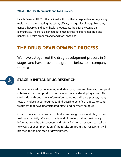#### **What is the Health Products and Food Branch?**

Health Canada's HPFB is the national authority that is responsible for regulating, evaluating, and monitoring the safety, efficacy, and quality of drugs, biologics, genetic therapies and other health products available for the Canadian marketplace. The HPFB's mandate is to manage the health-related risks and benefits of health products and foods for Canadians.

# **THE DRUG DEVELOPMENT PROCESS**

We have categorized the drug development process in 5 stages and have provided a graphic below to accompany the text.

# **STAGE 1: INITIAL DRUG RESEARCH**

Researchers start by discovering and identifying various chemical, biological substances or other products on the way towards developing a drug. This can be done through new information regarding a disease process, many tests of molecular compounds to find possible beneficial effects, existing treatment that have unanticipated effect and new technologies.

Once the researchers have identified a promising compound, they perform testing for activity, efficacy, toxicity and ultimately, gather preliminary information on its effectiveness and safety. This initial research can take a few years of experimentation. If the results are promising, researchers will proceed to the next step of development.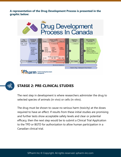**A representation of the Drug Development Process is presented in the graphic below:**





# **STAEGE 2: PRE-CLINICAL STUDIES**

The next step in development is where researchers administer the drug to selected species of animals (in vivo) or cells (in vitro).

The drug must be shown to cause no serious harm (toxicity) at the doses required to have an effect. If results from these initial studies are promising and further tests show acceptable safety levels and clear or potential efficacy, then the next step would be to submit a Clinical Trial Application to the TPD or BGTD for authorization to allow human participation in a Canadian clinical trial.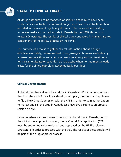

### **STAGE 3: CLINICAL TRIALS**

All drugs authorized to be marketed or sold in Canada must have been studied in clinical trials. The information gathered from these trials are then included in the relevant regulatory dossiers to be reviewed for the drug to be eventually authorized for sale in Canada by the HPFB, through its relevant Directorate. The results of clinical trials conducted in humans are key components of the review process by the HPFB.

The purpose of a trial is to gather clinical information about a drug's effectiveness, safety, determine best dosing/usage in humans, evaluate any adverse drug reactions and compare results to already existing treatments for the same disease or condition or, to placebo when no treatment already exists for the aimed pathology (when ethically possible).

#### **Clinical Development:**

If clinical trials have already been done in Canada and/or in other countries, that is, at the end of the clinical development plan, the sponsor may choose to file a New Drug Submission with the HPFB in order to gain authorization to market and sell the drug in Canada (see New Drug Submission process section below).

However, when a sponsor aims to conduct a clinical trial in Canada, during the clinical development program, then a Clinical Trial Application (CTA) must be submitted to be reviewed and approved by the HPFB's relevant Directorate in order to proceed with the trial. The results of these studies will be part of the drug approval process.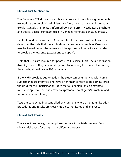#### **Clinical Trial Application:**

The Canadian CTA dossier is simple and consists of the following documents (exceptions are possible): administrative form, protocol, protocol summary (Health Canada's template), Informed Consent Form, Investigator's Brochure and quality dossier summary (Health Canada's template per study phase).

Health Canada reviews the CTA and notifies the sponsor within 30 calendar days from the date that the application is considered complete. Questions may be issued during the review, and the sponsor will have 2 calendar days to provide the response (exceptions can apply).

Note that CTAs are required for phases I to III clinical trials. The authorization (No Objection Letter) is mandatory prior to initiating the trial and importing the investigational product(s) in Canada.

If the HPFB provides authorization, the study can be underway with human subjects that are informed and have given their consent to be administered the drug for their participation. Note that a Canadian Ethic Committee must also approve the study material (protocol, Investigator's Brochure and Informed Consent Form).

Tests are conducted in a controlled environment where drug administration procedures and results are closely tracked, monitored and analyzed.

#### **Clinical Trial Phases**

There are, in summary, four (4) phases in the clinical trials process. Each clinical trial phase for drugs has a different purpose.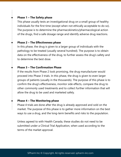#### **Phase 1 – The Safety phase**

This phase usually tests an investigational drug on a small group of healthy individuals for the first time (except when not ethically acceptable to do so). The purpose is to determine the pharmacokinetics/pharmacological action of the drugs, find a safe dosage range and identify adverse drug reactions.

#### **Phase 2 – The Effectiveness phase**

In this phase, the drug is given to a larger group of individuals with the pathology to be treated (usually several hundred). The purpose is to obtain data on the effectiveness of the drug, to further assess the drug's safety and to determine the best dose.

#### **Phase 3 – The Confirmation Phase**

If the results from Phase 2 look promising, the drug manufacturer would proceed into Phase 3 trials. In this phase, the drug is given to even larger groups of patients (usually in the thousands). The purpose of this phase is to confirm the drug's effectiveness, monitor side effects, compare the drug to other commonly used treatments and to collect further information that will allow the drug to be used and marketed safely.

#### **Phase 4 – The Monitoring phase**

Phase 4 trials are done after the drug is already approved and sold on the market. The purpose of this phase is to gather more information on the best ways to use a drug, and the long-term benefits and risks to the population.

Unless agreed to with Health Canada, these studies do not need to be submitted under a Clinical Trial Application, when used according to the terms of the market approval.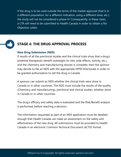If the drug is to be used outside the terms of the market approval (that is in a different population, for a different indication, using a different dose, etc.), the study will not be considered a phase IV. Consequently, in these cases, a CTA will need to be submitted to Health Canada in order to obtain a No Objection Letter.



## **STAGE 4: THE DRUG APPROVAL PROCESS**

#### **New Drug Submission (NDS)**

If results of all the preclinical studies and the clinical trials show that a drug's potential therapeutic benefit outweighs its risks (side effects, toxicity, etc.), and the chemistry and manufacturing dossier is complete, then the sponsor may decide to file an NDS with the appropriate HPFB Directorate in order to be granted authorization to sell the drug in Canada.

A sponsor can submit an NDS whether the clinical trials were done in Canada or in other countries. The NDS must include the results of the quality (Chemistry and manufacturing), preclinical and clinical studies, whether done in Canada or in other countries.

The drug's efficacy and safety data is evaluated and the Risk/Benefit analysis is performed, before reaching a decision.

The information requested as part of an NDS application must be detailed enough that Health Canada can make an assessment on the safety and effectiveness of the new drug. All submissions must be provided to Health Canada in an electronic Common Technical Document (eCTD) format.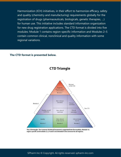Harmonization (ICH) initiatives, in their effort to harmonize efficacy, safety and quality (chemistry and manufacturing) requirements globally for the registration of drugs (pharmaceuticals, biologicals, genetic therapies, …) for human use. This initiative includes standard information organization for new drug registration applications. The CTD format is divided into five modules: Module 1 contains region-specific information and Modules 2–5 contain common clinical, nonclinical and quality information with some regional variations.

#### **The CTD format is presented below.**



#### **CTD Triangle**

The CTD triangle. The Common Technical Document is organized into five modules. Module 1is region specific and modules 2, 3, 4 and 5 are intended to be common for all regions.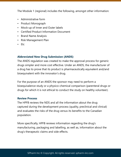The Module 1 (regional) includes the following, amongst other information:

- Administrative form
- Product Monograph
- Mock-up of Inner and Outer labels
- Certified Product Information Document
- Brand Name Analysis
- Risk Management Plan
- Etc

#### **Abbreviated New Drug Submission (ANDS)**

The ANDS regulation was created to make the approval process for generic drugs simpler and more cost effective. Under an ANDS, the manufacturer of a drug has to prove that its product is pharmaceutically equivalent and/and bioequivalent with the innovator's drug.

For the purpose of an ANDS the sponsor may need to perform a bioequivalence study or a physico-chemical comparison (parenteral drugs or drugs for which it is not ethical to conduct the study on healthy volunteer).

#### **Review Process**

The HPFB reviews the NDS and all the information about the drug captured during the development process (quality, preclinical and clinical) and evaluates the risks of the drug versus its benefits to the Canadian population.

More specifically, HPFB reviews information regarding the drug's manufacturing, packaging and labelling, as well as, information about the drug's therapeutic claims and side effects.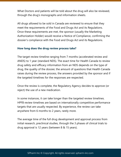What Doctors and patients will be told about the drug will also be reviewed, through the drug's monographs and information sheets.

All drugs allowed to be sold in Canada are reviewed to ensure that they meet the requirements of the Food and Drugs Act and its Regulations. Once these requirements are met, the sponsor (usually the Marketing Authorization Holder) would receive a Notice of Compliance, confirming the dossier's compliance with the Food and Drugs Act and its Regulations.

#### **How long does the drug review process take?**

The target review timeline ranging from 7 months (accelerated review and ANDS) to 1 year (standard NDS). The exact time for Health Canada to review drug safety and efficacy information from an NDS depends on the type of drug, the quality of the dossier, the amount of questions that Health Canada raises during the review process, the answers provided by the sponsor and if the targeted timelines for the responses are respected.

Once the review is complete, the Regulatory Agency decides to approve (or reject) the use of a new medication.

In some instances, it can take longer than the targeted review timelines. HPFB review timelines are based on internationally competitive performance targets that are usually respected. By experience, the review can take anywhere from 6 months to 2 years, rarely more.

The average time of the full drug development and approval process from initial research, preclinical studies, through the 3 phases of clinical trials to drug approval is 12 years (between 8 & 15 years).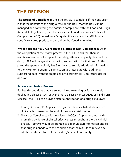# **THE DECISION**

**The Notice of Compliance:** Once the review is complete, if the conclusion is that the benefits of the drug outweigh the risks, that the risks can be managed and confirming the dossier's compliance with the Food and Drugs Act and its Regulations, then the sponsor in Canada receives a Notice of Compliance (NOC), as well as a Drug Identification Number (DIN), which is specific to a drug product to be sold on the Canadian market.

**What happens if a Drug receives a Notice of Non-Compliance?** Upon the completion of the review process, if the HPFB finds that there is insufficient evidence to support the safety, efficacy or quality claims of the drug, HPFB will not grant a marketing authorization for that drug. At this point, the sponsor typically has 3 options: to supply additional information to the HPFB, to re-submit a submission at a later date with additional supporting data (without prejudice), or to ask that HPFB to reconsider its decision.

#### **Accelerated Review Process**

For health conditions that are serious, life-threatening or for a severely debilitating disease (such as Alzheimer's disease, cancer, AIDS, or Parkinson's Disease), the HPFB can provide faster authorization of a drug as follows:

- 1. Priority Review (PR): Applies to drugs that shows substantial evidence of clinical effectiveness at the end of the clinical trial phases.
- 2. Notice of Compliance with conditions (NOC/c): Applies to drugs with promising evidence of clinical effectiveness throughout the clinical trial phases. Approval would be granted to a manufacturer to market and sell that drug in Canada with the condition that the manufacturer execute additional studies to confirm the drug's benefit and safety.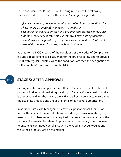To be considered for PR or NOC/c, the drug must meet the following standards as described by Health Canada; *the drug must provide:*

- *• effective treatment, prevention or diagnosis of a disease or condition for which no drug is presently marketed in Canada; or*
- *• a significant increase in efficacy and/or significant decrease in risk such that the overall benefit/risk profile is improved over existing therapies, preventatives or diagnostic agents for a disease or condition that is not adequately managed by a drug marketed in Canada*

Related to the NOC/c, some of the conditions of the Notice of Compliance include a requirement to closely monitor the drug for safety and to provide HPFB with regular updates. Once the conditions are met, the designation of "with condition" is removed from the NOC.

# **STAGE 5: AFTER-APPROVAL**

。<br>4년<br>2월

Getting a Notice of Compliance from Health Canada isn't the last step in the process of selling and marketing the drug in Canada. Once a health product is approved and, on the market, the HPFB requires a sponsor to ensure that the use of its drug is done under the terms of its market authorization.

In addition, Life Cycle Management activities (post approval submissions to Health Canada, for new indications, new dosage forms, new strengths, manufacturing changes, etc.) are required to ensure the maintenance of the product License with its related improvements. In summary, sponsors need to ensure its continued compliance with the Food and Drug Regulations, while their products are on the market.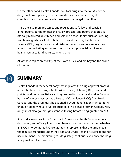On the other hand, Health Canada monitors drug information & adverse drug reactions reporting, conducts market surveillance, investigates complaints and manages recalls if necessary, amongst other things.

There are also more processes and regulations to follow and consider, either before, during or after the review process, and before that drug is officially marketed, distributed and sold in Canada. Topics such as licensing, warehousing, wholesale distribution rules and the Drug Establishment Licence (DEL), regulations around distribution to consumers, regulations around the marketing and advertising activities, provincial requirements, health insurance funding rules, among others.

All of these topics are worthy of their own article and are beyond the scope of this one.



# **SUMMARY**

Health Canada is the federal body that regulates the drug approval process under the Food and Drugs Act (FDA) and its regulations (FDR), its related policies and guidance. Before a drug can be distributed and sold in Canada, its manufacturer must receive a Notice of Compliance (NOC) from Health Canada, and the drug must be assigned a Drug Identification Number (DIN), uniquely identifying all drug products sold in a dosage form in Canada. New drugs must also go through extensive testing before being granted an NOC.

It can take anywhere from 6 months to 2 years for Health Canada to review drug safety and efficacy information before providing a decision on whether an NOC is to be granted. Once granted, it represents that the drug meets the required standards under the Food and Drugs Act and its regulations, for use in humans. The monitoring for drug safety continues even once the drug finally makes it to consumers.